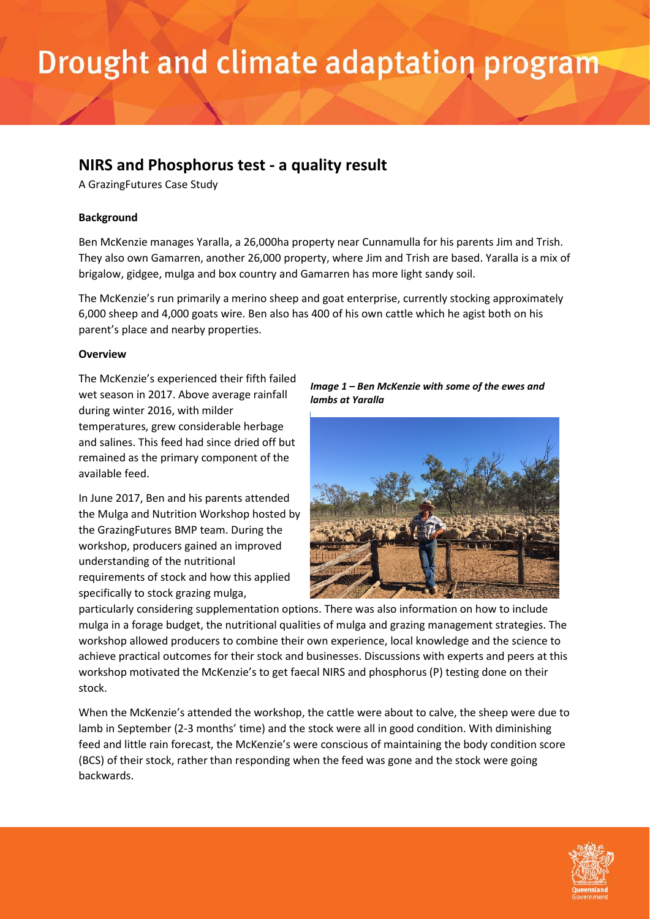### **NIRS and Phosphorus test - a quality result**

A GrazingFutures Case Study

### **Background**

Ben McKenzie manages Yaralla, a 26,000ha property near Cunnamulla for his parents Jim and Trish. They also own Gamarren, another 26,000 property, where Jim and Trish are based. Yaralla is a mix of brigalow, gidgee, mulga and box country and Gamarren has more light sandy soil.

The McKenzie's run primarily a merino sheep and goat enterprise, currently stocking approximately 6,000 sheep and 4,000 goats wire. Ben also has 400 of his own cattle which he agist both on his parent's place and nearby properties.

### **Overview**

The McKenzie's experienced their fifth failed wet season in 2017. Above average rainfall during winter 2016, with milder temperatures, grew considerable herbage and salines. This feed had since dried off but remained as the primary component of the available feed.

In June 2017, Ben and his parents attended the Mulga and Nutrition Workshop hosted by the GrazingFutures BMP team. During the workshop, producers gained an improved understanding of the nutritional requirements of stock and how this applied specifically to stock grazing mulga,

*Image 1 – Ben McKenzie with some of the ewes and lambs at Yaralla*



particularly considering supplementation options. There was also information on how to include mulga in a forage budget, the nutritional qualities of mulga and grazing management strategies. The workshop allowed producers to combine their own experience, local knowledge and the science to achieve practical outcomes for their stock and businesses. Discussions with experts and peers at this workshop motivated the McKenzie's to get faecal NIRS and phosphorus (P) testing done on their stock.

When the McKenzie's attended the workshop, the cattle were about to calve, the sheep were due to lamb in September (2-3 months' time) and the stock were all in good condition. With diminishing feed and little rain forecast, the McKenzie's were conscious of maintaining the body condition score (BCS) of their stock, rather than responding when the feed was gone and the stock were going backwards.

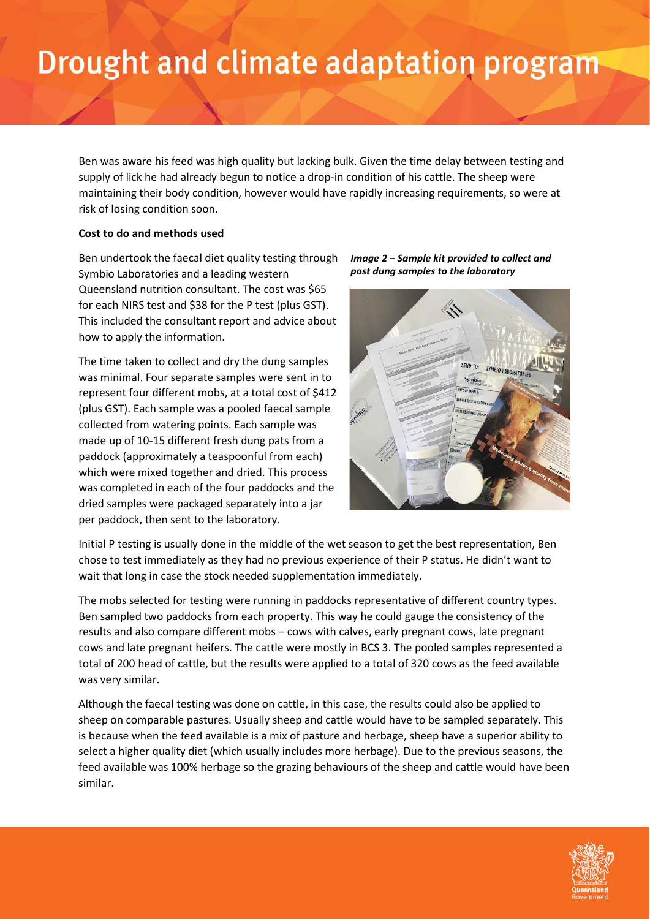Ben was aware his feed was high quality but lacking bulk. Given the time delay between testing and supply of lick he had already begun to notice a drop-in condition of his cattle. The sheep were maintaining their body condition, however would have rapidly increasing requirements, so were at risk of losing condition soon.

#### **Cost to do and methods used**

Ben undertook the faecal diet quality testing through Symbio Laboratories and a leading western Queensland nutrition consultant. The cost was \$65 for each NIRS test and \$38 for the P test (plus GST). This included the consultant report and advice about how to apply the information.

The time taken to collect and dry the dung samples was minimal. Four separate samples were sent in to represent four different mobs, at a total cost of \$412 (plus GST). Each sample was a pooled faecal sample collected from watering points. Each sample was made up of 10-15 different fresh dung pats from a paddock (approximately a teaspoonful from each) which were mixed together and dried. This process was completed in each of the four paddocks and the dried samples were packaged separately into a jar per paddock, then sent to the laboratory.

*Image 2 – Sample kit provided to collect and post dung samples to the laboratory*



Initial P testing is usually done in the middle of the wet season to get the best representation, Ben chose to test immediately as they had no previous experience of their P status. He didn't want to wait that long in case the stock needed supplementation immediately.

The mobs selected for testing were running in paddocks representative of different country types. Ben sampled two paddocks from each property. This way he could gauge the consistency of the results and also compare different mobs – cows with calves, early pregnant cows, late pregnant cows and late pregnant heifers. The cattle were mostly in BCS 3. The pooled samples represented a total of 200 head of cattle, but the results were applied to a total of 320 cows as the feed available was very similar.

Although the faecal testing was done on cattle, in this case, the results could also be applied to sheep on comparable pastures. Usually sheep and cattle would have to be sampled separately. This is because when the feed available is a mix of pasture and herbage, sheep have a superior ability to select a higher quality diet (which usually includes more herbage). Due to the previous seasons, the feed available was 100% herbage so the grazing behaviours of the sheep and cattle would have been similar.

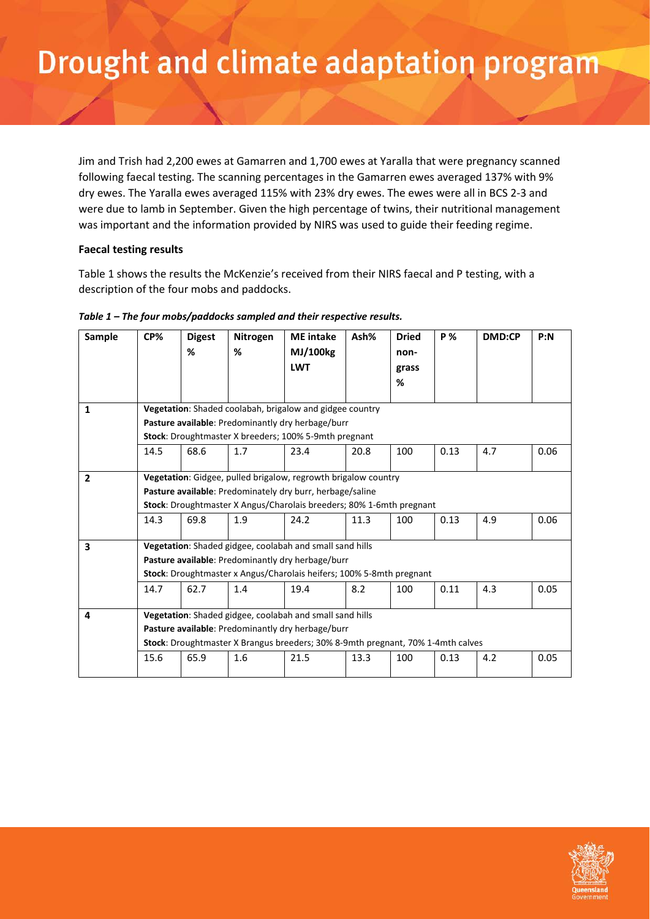Jim and Trish had 2,200 ewes at Gamarren and 1,700 ewes at Yaralla that were pregnancy scanned following faecal testing. The scanning percentages in the Gamarren ewes averaged 137% with 9% dry ewes. The Yaralla ewes averaged 115% with 23% dry ewes. The ewes were all in BCS 2-3 and were due to lamb in September. Given the high percentage of twins, their nutritional management was important and the information provided by NIRS was used to guide their feeding regime.

### **Faecal testing results**

Table 1 shows the results the McKenzie's received from their NIRS faecal and P testing, with a description of the four mobs and paddocks.

| <b>Sample</b>  | CP%                                                                             | <b>Digest</b>                                                  | Nitrogen | <b>ME</b> intake | Ash% | <b>Dried</b> | <b>P</b> % | <b>DMD:CP</b> | P: N |  |
|----------------|---------------------------------------------------------------------------------|----------------------------------------------------------------|----------|------------------|------|--------------|------------|---------------|------|--|
|                |                                                                                 | %                                                              | %        | MJ/100kg         |      | non-         |            |               |      |  |
|                |                                                                                 |                                                                |          | <b>LWT</b>       |      | grass        |            |               |      |  |
|                |                                                                                 |                                                                |          |                  |      | %            |            |               |      |  |
|                |                                                                                 |                                                                |          |                  |      |              |            |               |      |  |
| 1              | Vegetation: Shaded coolabah, brigalow and gidgee country                        |                                                                |          |                  |      |              |            |               |      |  |
|                | Pasture available: Predominantly dry herbage/burr                               |                                                                |          |                  |      |              |            |               |      |  |
|                | Stock: Droughtmaster X breeders; 100% 5-9mth pregnant                           |                                                                |          |                  |      |              |            |               |      |  |
|                | 14.5                                                                            | 68.6                                                           | 1.7      | 23.4             | 20.8 | 100          | 0.13       | 4.7           | 0.06 |  |
|                |                                                                                 |                                                                |          |                  |      |              |            |               |      |  |
| $\overline{2}$ |                                                                                 | Vegetation: Gidgee, pulled brigalow, regrowth brigalow country |          |                  |      |              |            |               |      |  |
|                | Pasture available: Predominately dry burr, herbage/saline                       |                                                                |          |                  |      |              |            |               |      |  |
|                | Stock: Droughtmaster X Angus/Charolais breeders; 80% 1-6mth pregnant            |                                                                |          |                  |      |              |            |               |      |  |
|                | 14.3                                                                            | 69.8                                                           | 1.9      | 24.2             | 11.3 | 100          | 0.13       | 4.9           | 0.06 |  |
|                |                                                                                 |                                                                |          |                  |      |              |            |               |      |  |
| 3              | Vegetation: Shaded gidgee, coolabah and small sand hills                        |                                                                |          |                  |      |              |            |               |      |  |
|                | Pasture available: Predominantly dry herbage/burr                               |                                                                |          |                  |      |              |            |               |      |  |
|                | Stock: Droughtmaster x Angus/Charolais heifers; 100% 5-8mth pregnant            |                                                                |          |                  |      |              |            |               |      |  |
|                | 14.7                                                                            | 62.7                                                           | 1.4      | 19.4             | 8.2  | 100          | 0.11       | 4.3           | 0.05 |  |
|                |                                                                                 |                                                                |          |                  |      |              |            |               |      |  |
| 4              | Vegetation: Shaded gidgee, coolabah and small sand hills                        |                                                                |          |                  |      |              |            |               |      |  |
|                | Pasture available: Predominantly dry herbage/burr                               |                                                                |          |                  |      |              |            |               |      |  |
|                | Stock: Droughtmaster X Brangus breeders; 30% 8-9mth pregnant, 70% 1-4mth calves |                                                                |          |                  |      |              |            |               |      |  |
|                | 15.6                                                                            | 65.9                                                           | 1.6      | 21.5             | 13.3 | 100          | 0.13       | 4.2           | 0.05 |  |
|                |                                                                                 |                                                                |          |                  |      |              |            |               |      |  |

#### *Table 1 – The four mobs/paddocks sampled and their respective results.*

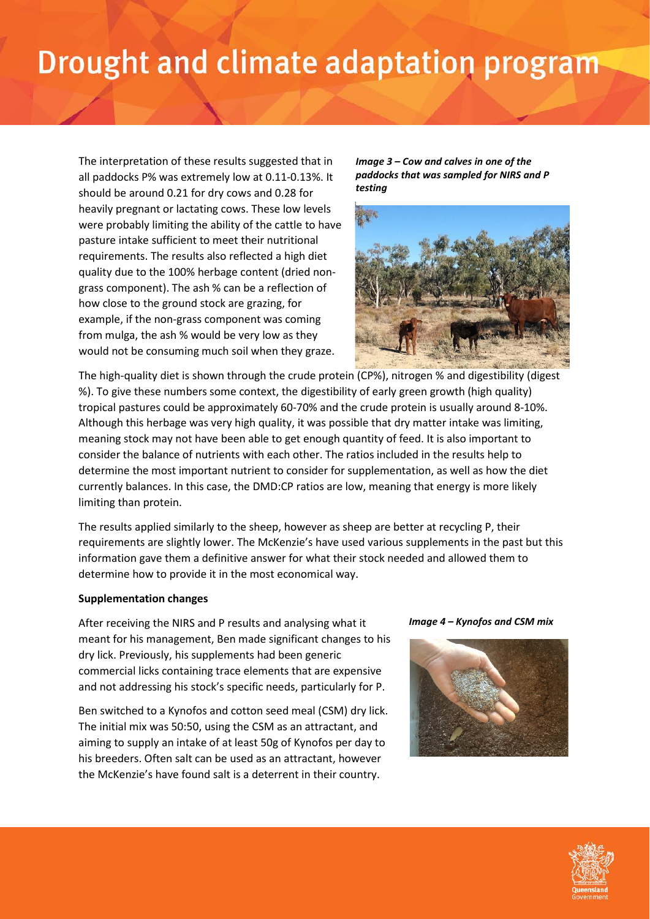The interpretation of these results suggested that in all paddocks P% was extremely low at 0.11-0.13%. It should be around 0.21 for dry cows and 0.28 for heavily pregnant or lactating cows. These low levels were probably limiting the ability of the cattle to have pasture intake sufficient to meet their nutritional requirements. The results also reflected a high diet quality due to the 100% herbage content (dried nongrass component). The ash % can be a reflection of how close to the ground stock are grazing, for example, if the non-grass component was coming from mulga, the ash % would be very low as they would not be consuming much soil when they graze.

*Image 3 – Cow and calves in one of the paddocks that was sampled for NIRS and P testing*



The high-quality diet is shown through the crude protein (CP%), nitrogen % and digestibility (digest %). To give these numbers some context, the digestibility of early green growth (high quality) tropical pastures could be approximately 60-70% and the crude protein is usually around 8-10%. Although this herbage was very high quality, it was possible that dry matter intake was limiting, meaning stock may not have been able to get enough quantity of feed. It is also important to consider the balance of nutrients with each other. The ratios included in the results help to determine the most important nutrient to consider for supplementation, as well as how the diet currently balances. In this case, the DMD:CP ratios are low, meaning that energy is more likely limiting than protein.

The results applied similarly to the sheep, however as sheep are better at recycling P, their requirements are slightly lower. The McKenzie's have used various supplements in the past but this information gave them a definitive answer for what their stock needed and allowed them to determine how to provide it in the most economical way.

#### **Supplementation changes**

After receiving the NIRS and P results and analysing what it meant for his management, Ben made significant changes to his dry lick. Previously, his supplements had been generic commercial licks containing trace elements that are expensive and not addressing his stock's specific needs, particularly for P.

Ben switched to a Kynofos and cotton seed meal (CSM) dry lick. The initial mix was 50:50, using the CSM as an attractant, and aiming to supply an intake of at least 50g of Kynofos per day to his breeders. Often salt can be used as an attractant, however the McKenzie's have found salt is a deterrent in their country.

#### *Image 4 – Kynofos and CSM mix*



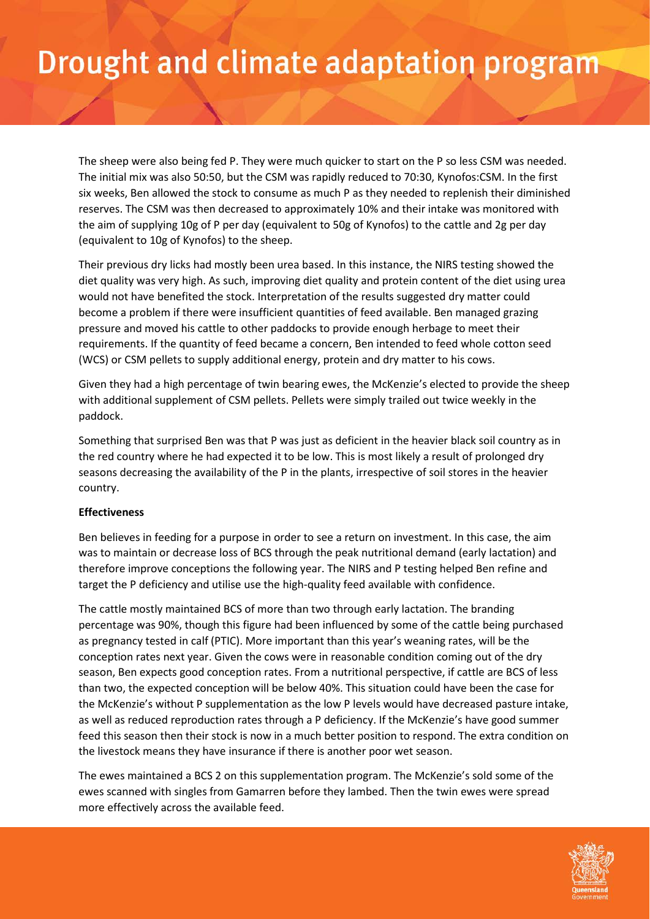The sheep were also being fed P. They were much quicker to start on the P so less CSM was needed. The initial mix was also 50:50, but the CSM was rapidly reduced to 70:30, Kynofos:CSM. In the first six weeks, Ben allowed the stock to consume as much P as they needed to replenish their diminished reserves. The CSM was then decreased to approximately 10% and their intake was monitored with the aim of supplying 10g of P per day (equivalent to 50g of Kynofos) to the cattle and 2g per day (equivalent to 10g of Kynofos) to the sheep.

Their previous dry licks had mostly been urea based. In this instance, the NIRS testing showed the diet quality was very high. As such, improving diet quality and protein content of the diet using urea would not have benefited the stock. Interpretation of the results suggested dry matter could become a problem if there were insufficient quantities of feed available. Ben managed grazing pressure and moved his cattle to other paddocks to provide enough herbage to meet their requirements. If the quantity of feed became a concern, Ben intended to feed whole cotton seed (WCS) or CSM pellets to supply additional energy, protein and dry matter to his cows.

Given they had a high percentage of twin bearing ewes, the McKenzie's elected to provide the sheep with additional supplement of CSM pellets. Pellets were simply trailed out twice weekly in the paddock.

Something that surprised Ben was that P was just as deficient in the heavier black soil country as in the red country where he had expected it to be low. This is most likely a result of prolonged dry seasons decreasing the availability of the P in the plants, irrespective of soil stores in the heavier country.

### **Effectiveness**

Ben believes in feeding for a purpose in order to see a return on investment. In this case, the aim was to maintain or decrease loss of BCS through the peak nutritional demand (early lactation) and therefore improve conceptions the following year. The NIRS and P testing helped Ben refine and target the P deficiency and utilise use the high-quality feed available with confidence.

The cattle mostly maintained BCS of more than two through early lactation. The branding percentage was 90%, though this figure had been influenced by some of the cattle being purchased as pregnancy tested in calf (PTIC). More important than this year's weaning rates, will be the conception rates next year. Given the cows were in reasonable condition coming out of the dry season, Ben expects good conception rates. From a nutritional perspective, if cattle are BCS of less than two, the expected conception will be below 40%. This situation could have been the case for the McKenzie's without P supplementation as the low P levels would have decreased pasture intake, as well as reduced reproduction rates through a P deficiency. If the McKenzie's have good summer feed this season then their stock is now in a much better position to respond. The extra condition on the livestock means they have insurance if there is another poor wet season.

The ewes maintained a BCS 2 on this supplementation program. The McKenzie's sold some of the ewes scanned with singles from Gamarren before they lambed. Then the twin ewes were spread more effectively across the available feed.

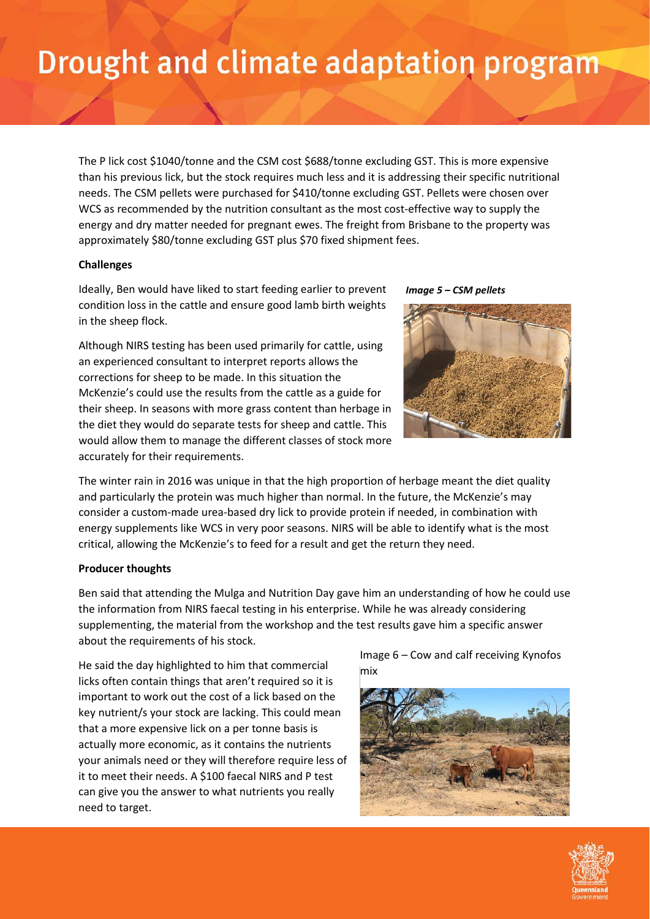The P lick cost \$1040/tonne and the CSM cost \$688/tonne excluding GST. This is more expensive than his previous lick, but the stock requires much less and it is addressing their specific nutritional needs. The CSM pellets were purchased for \$410/tonne excluding GST. Pellets were chosen over WCS as recommended by the nutrition consultant as the most cost-effective way to supply the energy and dry matter needed for pregnant ewes. The freight from Brisbane to the property was approximately \$80/tonne excluding GST plus \$70 fixed shipment fees.

### **Challenges**

Ideally, Ben would have liked to start feeding earlier to prevent condition loss in the cattle and ensure good lamb birth weights in the sheep flock.

Although NIRS testing has been used primarily for cattle, using an experienced consultant to interpret reports allows the corrections for sheep to be made. In this situation the McKenzie's could use the results from the cattle as a guide for their sheep. In seasons with more grass content than herbage in the diet they would do separate tests for sheep and cattle. This would allow them to manage the different classes of stock more accurately for their requirements.

*Image 5 – CSM pellets*



The winter rain in 2016 was unique in that the high proportion of herbage meant the diet quality and particularly the protein was much higher than normal. In the future, the McKenzie's may consider a custom-made urea-based dry lick to provide protein if needed, in combination with energy supplements like WCS in very poor seasons. NIRS will be able to identify what is the most critical, allowing the McKenzie's to feed for a result and get the return they need.

### **Producer thoughts**

Ben said that attending the Mulga and Nutrition Day gave him an understanding of how he could use the information from NIRS faecal testing in his enterprise. While he was already considering supplementing, the material from the workshop and the test results gave him a specific answer about the requirements of his stock.

He said the day highlighted to him that commercial licks often contain things that aren't required so it is important to work out the cost of a lick based on the key nutrient/s your stock are lacking. This could mean that a more expensive lick on a per tonne basis is actually more economic, as it contains the nutrients your animals need or they will therefore require less of it to meet their needs. A \$100 faecal NIRS and P test can give you the answer to what nutrients you really need to target.

Image 6 – Cow and calf receiving Kynofos mix